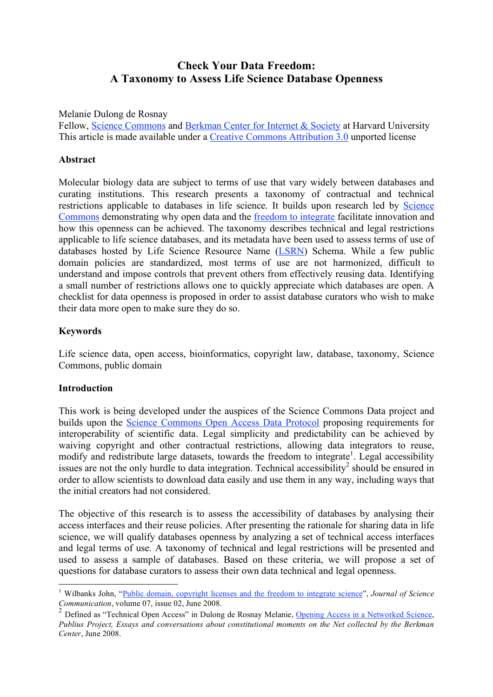# **Check Your Data Freedom: A Taxonomy to Assess Life Science Database Openness**

Melanie Dulong de Rosnay

Fellow, Science Commons and Berkman Center for Internet & Society at Harvard University This article is made available under a Creative Commons Attribution 3.0 unported license

#### **Abstract**

Molecular biology data are subject to terms of use that vary widely between databases and curating institutions. This research presents a taxonomy of contractual and technical restrictions applicable to databases in life science. It builds upon research led by Science Commons demonstrating why open data and the freedom to integrate facilitate innovation and how this openness can be achieved. The taxonomy describes technical and legal restrictions applicable to life science databases, and its metadata have been used to assess terms of use of databases hosted by Life Science Resource Name (LSRN) Schema. While a few public domain policies are standardized, most terms of use are not harmonized, difficult to understand and impose controls that prevent others from effectively reusing data. Identifying a small number of restrictions allows one to quickly appreciate which databases are open. A checklist for data openness is proposed in order to assist database curators who wish to make their data more open to make sure they do so.

### **Keywords**

Life science data, open access, bioinformatics, copyright law, database, taxonomy, Science Commons, public domain

#### **Introduction**

This work is being developed under the auspices of the Science Commons Data project and builds upon the Science Commons Open Access Data Protocol proposing requirements for interoperability of scientific data. Legal simplicity and predictability can be achieved by waiving copyright and other contractual restrictions, allowing data integrators to reuse, modify and redistribute large datasets, towards the freedom to integrate<sup>1</sup>. Legal accessibility issues are not the only hurdle to data integration. Technical accessibility 2 should be ensured in order to allow scientists to download data easily and use them in any way, including ways that the initial creators had not considered.

The objective of this research is to assess the accessibility of databases by analysing their access interfaces and their reuse policies. After presenting the rationale for sharing data in life science, we will qualify databases openness by analyzing a set of technical access interfaces and legal terms of use. A taxonomy of technical and legal restrictions will be presented and used to assess a sample of databases. Based on these criteria, we will propose a set of questions for database curators to assess their own data technical and legal openness.

 <sup>1</sup> Wilbanks John, "Public domain, copyright licenses and the freedom to integrate science", *Journal of Science*

<sup>&</sup>lt;sup>2</sup> Defined as "Technical Open Access" in Dulong de Rosnay Melanie, Opening Access in a Networked Science, *Publius Project, Essays and conversations about constitutional moments on the Net collected by the Berkman Center*, June 2008.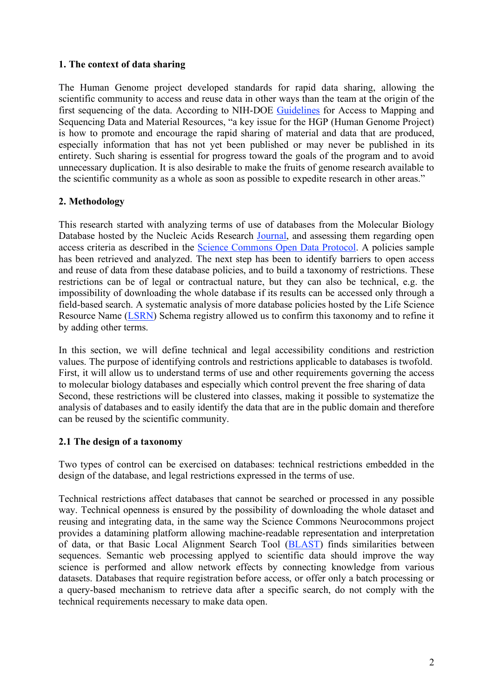### **1. The context of data sharing**

The Human Genome project developed standards for rapid data sharing, allowing the scientific community to access and reuse data in other ways than the team at the origin of the first sequencing of the data. According to NIH-DOE Guidelines for Access to Mapping and Sequencing Data and Material Resources, "a key issue for the HGP (Human Genome Project) is how to promote and encourage the rapid sharing of material and data that are produced, especially information that has not yet been published or may never be published in its entirety. Such sharing is essential for progress toward the goals of the program and to avoid unnecessary duplication. It is also desirable to make the fruits of genome research available to the scientific community as a whole as soon as possible to expedite research in other areas."

### **2. Methodology**

This research started with analyzing terms of use of databases from the Molecular Biology Database hosted by the Nucleic Acids Research Journal, and assessing them regarding open access criteria as described in the Science Commons Open Data Protocol. A policies sample has been retrieved and analyzed. The next step has been to identify barriers to open access and reuse of data from these database policies, and to build a taxonomy of restrictions. These restrictions can be of legal or contractual nature, but they can also be technical, e.g. the impossibility of downloading the whole database if its results can be accessed only through a field-based search. A systematic analysis of more database policies hosted by the Life Science Resource Name (LSRN) Schema registry allowed us to confirm this taxonomy and to refine it by adding other terms.

In this section, we will define technical and legal accessibility conditions and restriction values. The purpose of identifying controls and restrictions applicable to databases is twofold. First, it will allow us to understand terms of use and other requirements governing the access to molecular biology databases and especially which control prevent the free sharing of data Second, these restrictions will be clustered into classes, making it possible to systematize the analysis of databases and to easily identify the data that are in the public domain and therefore can be reused by the scientific community.

#### **2.1 The design of a taxonomy**

Two types of control can be exercised on databases: technical restrictions embedded in the design of the database, and legal restrictions expressed in the terms of use.

Technical restrictions affect databases that cannot be searched or processed in any possible way. Technical openness is ensured by the possibility of downloading the whole dataset and reusing and integrating data, in the same way the Science Commons Neurocommons project provides a datamining platform allowing machine-readable representation and interpretation of data, or that Basic Local Alignment Search Tool (BLAST) finds similarities between sequences. Semantic web processing applyed to scientific data should improve the way science is performed and allow network effects by connecting knowledge from various datasets. Databases that require registration before access, or offer only a batch processing or a query-based mechanism to retrieve data after a specific search, do not comply with the technical requirements necessary to make data open.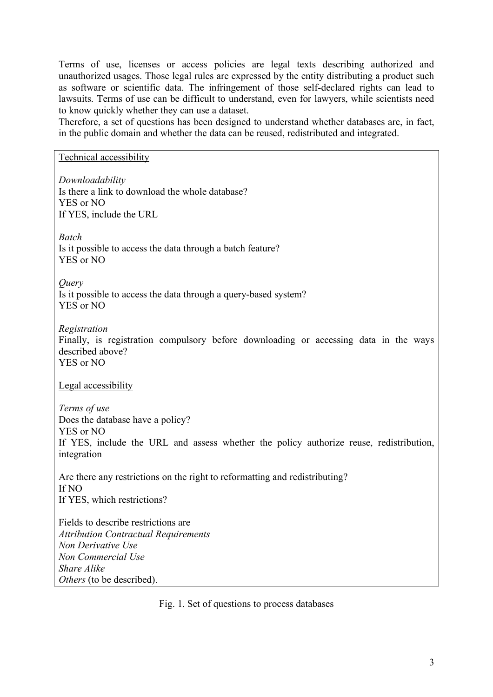Terms of use, licenses or access policies are legal texts describing authorized and unauthorized usages. Those legal rules are expressed by the entity distributing a product such as software or scientific data. The infringement of those self-declared rights can lead to lawsuits. Terms of use can be difficult to understand, even for lawyers, while scientists need to know quickly whether they can use a dataset.

Therefore, a set of questions has been designed to understand whether databases are, in fact, in the public domain and whether the data can be reused, redistributed and integrated.

Technical accessibility

*Downloadability* Is there a link to download the whole database? YES or NO If YES, include the URL *Batch* Is it possible to access the data through a batch feature? YES or NO *Query* Is it possible to access the data through a query-based system? YES or NO *Registration* Finally, is registration compulsory before downloading or accessing data in the ways described above? YES or NO Legal accessibility *Terms of use* Does the database have a policy? YES or NO If YES, include the URL and assess whether the policy authorize reuse, redistribution, integration Are there any restrictions on the right to reformatting and redistributing? If NO If YES, which restrictions? Fields to describe restrictions are *Attribution Contractual Requirements Non Derivative Use Non Commercial Use Share Alike Others* (to be described).

Fig. 1. Set of questions to process databases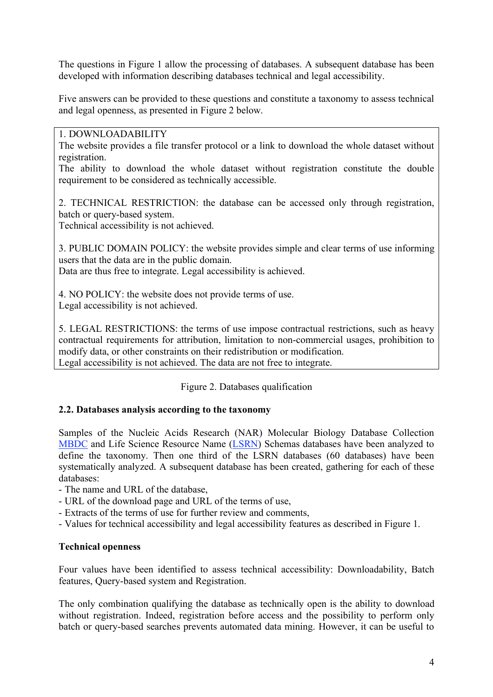The questions in Figure 1 allow the processing of databases. A subsequent database has been developed with information describing databases technical and legal accessibility.

Five answers can be provided to these questions and constitute a taxonomy to assess technical and legal openness, as presented in Figure 2 below.

#### 1. DOWNLOADABILITY

The website provides a file transfer protocol or a link to download the whole dataset without registration.

The ability to download the whole dataset without registration constitute the double requirement to be considered as technically accessible.

2. TECHNICAL RESTRICTION: the database can be accessed only through registration, batch or query-based system.

Technical accessibility is not achieved.

3. PUBLIC DOMAIN POLICY: the website provides simple and clear terms of use informing users that the data are in the public domain.

Data are thus free to integrate. Legal accessibility is achieved.

4. NO POLICY: the website does not provide terms of use. Legal accessibility is not achieved.

5. LEGAL RESTRICTIONS: the terms of use impose contractual restrictions, such as heavy contractual requirements for attribution, limitation to non-commercial usages, prohibition to modify data, or other constraints on their redistribution or modification. Legal accessibility is not achieved. The data are not free to integrate.

Figure 2. Databases qualification

### **2.2. Databases analysis according to the taxonomy**

Samples of the Nucleic Acids Research (NAR) Molecular Biology Database Collection MBDC and Life Science Resource Name (LSRN) Schemas databases have been analyzed to define the taxonomy. Then one third of the LSRN databases (60 databases) have been systematically analyzed. A subsequent database has been created, gathering for each of these databases:

- The name and URL of the database,
- URL of the download page and URL of the terms of use,
- Extracts of the terms of use for further review and comments,
- Values for technical accessibility and legal accessibility features as described in Figure 1.

### **Technical openness**

Four values have been identified to assess technical accessibility: Downloadability, Batch features, Query-based system and Registration.

The only combination qualifying the database as technically open is the ability to download without registration. Indeed, registration before access and the possibility to perform only batch or query-based searches prevents automated data mining. However, it can be useful to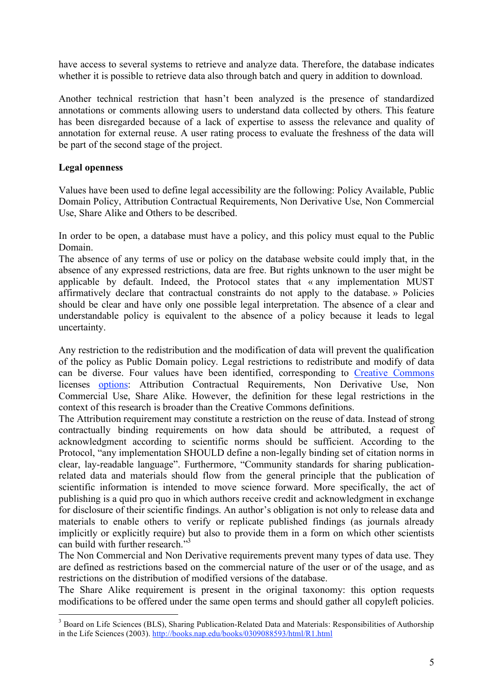have access to several systems to retrieve and analyze data. Therefore, the database indicates whether it is possible to retrieve data also through batch and query in addition to download.

Another technical restriction that hasn't been analyzed is the presence of standardized annotations or comments allowing users to understand data collected by others. This feature has been disregarded because of a lack of expertise to assess the relevance and quality of annotation for external reuse. A user rating process to evaluate the freshness of the data will be part of the second stage of the project.

### **Legal openness**

Values have been used to define legal accessibility are the following: Policy Available, Public Domain Policy, Attribution Contractual Requirements, Non Derivative Use, Non Commercial Use, Share Alike and Others to be described.

In order to be open, a database must have a policy, and this policy must equal to the Public Domain.

The absence of any terms of use or policy on the database website could imply that, in the absence of any expressed restrictions, data are free. But rights unknown to the user might be applicable by default. Indeed, the Protocol states that « any implementation MUST affirmatively declare that contractual constraints do not apply to the database. » Policies should be clear and have only one possible legal interpretation. The absence of a clear and understandable policy is equivalent to the absence of a policy because it leads to legal uncertainty.

Any restriction to the redistribution and the modification of data will prevent the qualification of the policy as Public Domain policy. Legal restrictions to redistribute and modify of data can be diverse. Four values have been identified, corresponding to Creative Commons licenses options: Attribution Contractual Requirements, Non Derivative Use, Non Commercial Use, Share Alike. However, the definition for these legal restrictions in the context of this research is broader than the Creative Commons definitions.

The Attribution requirement may constitute a restriction on the reuse of data. Instead of strong contractually binding requirements on how data should be attributed, a request of acknowledgment according to scientific norms should be sufficient. According to the Protocol, "any implementation SHOULD define a non-legally binding set of citation norms in clear, lay-readable language". Furthermore, "Community standards for sharing publicationrelated data and materials should flow from the general principle that the publication of scientific information is intended to move science forward. More specifically, the act of publishing is a quid pro quo in which authors receive credit and acknowledgment in exchange for disclosure of their scientific findings. An author's obligation is not only to release data and materials to enable others to verify or replicate published findings (as journals already implicitly or explicitly require) but also to provide them in a form on which other scientists can build with further research."<sup>3</sup>

The Non Commercial and Non Derivative requirements prevent many types of data use. They are defined as restrictions based on the commercial nature of the user or of the usage, and as restrictions on the distribution of modified versions of the database.

The Share Alike requirement is present in the original taxonomy: this option requests modifications to be offered under the same open terms and should gather all copyleft policies.

<sup>&</sup>lt;sup>3</sup> Board on Life Sciences (BLS), Sharing Publication-Related Data and Materials: Responsibilities of Authorship in the Life Sciences (2003). http://books.nap.edu/books/0309088593/html/R1.html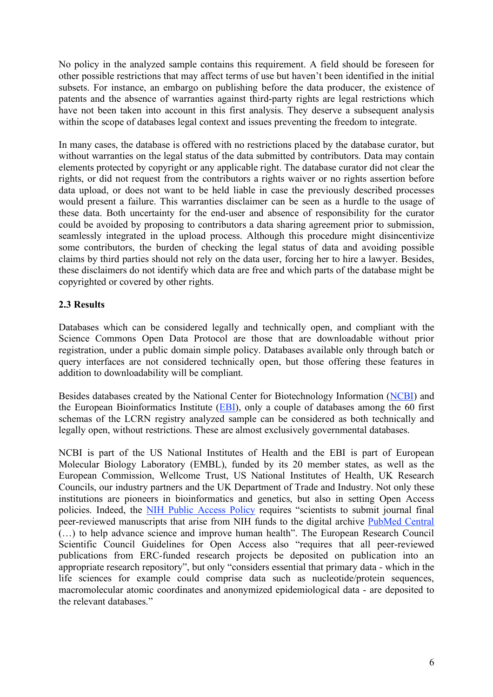No policy in the analyzed sample contains this requirement. A field should be foreseen for other possible restrictions that may affect terms of use but haven't been identified in the initial subsets. For instance, an embargo on publishing before the data producer, the existence of patents and the absence of warranties against third-party rights are legal restrictions which have not been taken into account in this first analysis. They deserve a subsequent analysis within the scope of databases legal context and issues preventing the freedom to integrate.

In many cases, the database is offered with no restrictions placed by the database curator, but without warranties on the legal status of the data submitted by contributors. Data may contain elements protected by copyright or any applicable right. The database curator did not clear the rights, or did not request from the contributors a rights waiver or no rights assertion before data upload, or does not want to be held liable in case the previously described processes would present a failure. This warranties disclaimer can be seen as a hurdle to the usage of these data. Both uncertainty for the end-user and absence of responsibility for the curator could be avoided by proposing to contributors a data sharing agreement prior to submission, seamlessly integrated in the upload process. Although this procedure might disincentivize some contributors, the burden of checking the legal status of data and avoiding possible claims by third parties should not rely on the data user, forcing her to hire a lawyer. Besides, these disclaimers do not identify which data are free and which parts of the database might be copyrighted or covered by other rights.

### **2.3 Results**

Databases which can be considered legally and technically open, and compliant with the Science Commons Open Data Protocol are those that are downloadable without prior registration, under a public domain simple policy. Databases available only through batch or query interfaces are not considered technically open, but those offering these features in addition to downloadability will be compliant.

Besides databases created by the National Center for Biotechnology Information (NCBI) and the European Bioinformatics Institute (EBI), only a couple of databases among the 60 first schemas of the LCRN registry analyzed sample can be considered as both technically and legally open, without restrictions. These are almost exclusively governmental databases.

NCBI is part of the US National Institutes of Health and the EBI is part of European Molecular Biology Laboratory (EMBL), funded by its 20 member states, as well as the European Commission, Wellcome Trust, US National Institutes of Health, UK Research Councils, our industry partners and the UK Department of Trade and Industry. Not only these institutions are pioneers in bioinformatics and genetics, but also in setting Open Access policies. Indeed, the NIH Public Access Policy requires "scientists to submit journal final peer-reviewed manuscripts that arise from NIH funds to the digital archive PubMed Central (…) to help advance science and improve human health". The European Research Council Scientific Council Guidelines for Open Access also "requires that all peer-reviewed publications from ERC-funded research projects be deposited on publication into an appropriate research repository", but only "considers essential that primary data - which in the life sciences for example could comprise data such as nucleotide/protein sequences, macromolecular atomic coordinates and anonymized epidemiological data - are deposited to the relevant databases."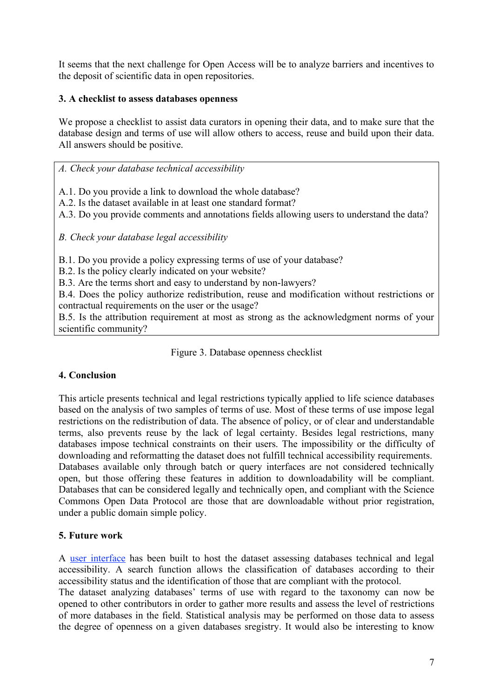It seems that the next challenge for Open Access will be to analyze barriers and incentives to the deposit of scientific data in open repositories.

### **3. A checklist to assess databases openness**

We propose a checklist to assist data curators in opening their data, and to make sure that the database design and terms of use will allow others to access, reuse and build upon their data. All answers should be positive.

*A. Check your database technical accessibility*

A.1. Do you provide a link to download the whole database?

A.2. Is the dataset available in at least one standard format?

A.3. Do you provide comments and annotations fields allowing users to understand the data?

*B. Check your database legal accessibility*

B.1. Do you provide a policy expressing terms of use of your database?

B.2. Is the policy clearly indicated on your website?

B.3. Are the terms short and easy to understand by non-lawyers?

B.4. Does the policy authorize redistribution, reuse and modification without restrictions or contractual requirements on the user or the usage?

B.5. Is the attribution requirement at most as strong as the acknowledgment norms of your scientific community?

Figure 3. Database openness checklist

## **4. Conclusion**

This article presents technical and legal restrictions typically applied to life science databases based on the analysis of two samples of terms of use. Most of these terms of use impose legal restrictions on the redistribution of data. The absence of policy, or of clear and understandable terms, also prevents reuse by the lack of legal certainty. Besides legal restrictions, many databases impose technical constraints on their users. The impossibility or the difficulty of downloading and reformatting the dataset does not fulfill technical accessibility requirements. Databases available only through batch or query interfaces are not considered technically open, but those offering these features in addition to downloadability will be compliant. Databases that can be considered legally and technically open, and compliant with the Science Commons Open Data Protocol are those that are downloadable without prior registration, under a public domain simple policy.

## **5. Future work**

A user interface has been built to host the dataset assessing databases technical and legal accessibility. A search function allows the classification of databases according to their accessibility status and the identification of those that are compliant with the protocol.

The dataset analyzing databases' terms of use with regard to the taxonomy can now be opened to other contributors in order to gather more results and assess the level of restrictions of more databases in the field. Statistical analysis may be performed on those data to assess the degree of openness on a given databases sregistry. It would also be interesting to know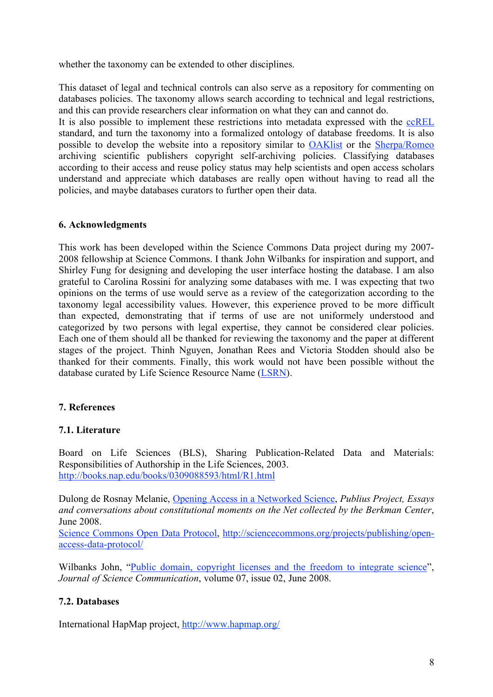whether the taxonomy can be extended to other disciplines.

This dataset of legal and technical controls can also serve as a repository for commenting on databases policies. The taxonomy allows search according to technical and legal restrictions, and this can provide researchers clear information on what they can and cannot do.

It is also possible to implement these restrictions into metadata expressed with the ccREL standard, and turn the taxonomy into a formalized ontology of database freedoms. It is also possible to develop the website into a repository similar to OAKlist or the Sherpa/Romeo archiving scientific publishers copyright self-archiving policies. Classifying databases according to their access and reuse policy status may help scientists and open access scholars understand and appreciate which databases are really open without having to read all the policies, and maybe databases curators to further open their data.

### **6. Acknowledgments**

This work has been developed within the Science Commons Data project during my 2007- 2008 fellowship at Science Commons. I thank John Wilbanks for inspiration and support, and Shirley Fung for designing and developing the user interface hosting the database. I am also grateful to Carolina Rossini for analyzing some databases with me. I was expecting that two opinions on the terms of use would serve as a review of the categorization according to the taxonomy legal accessibility values. However, this experience proved to be more difficult than expected, demonstrating that if terms of use are not uniformely understood and categorized by two persons with legal expertise, they cannot be considered clear policies. Each one of them should all be thanked for reviewing the taxonomy and the paper at different stages of the project. Thinh Nguyen, Jonathan Rees and Victoria Stodden should also be thanked for their comments. Finally, this work would not have been possible without the database curated by Life Science Resource Name (LSRN).

## **7. References**

### **7.1. Literature**

Board on Life Sciences (BLS), Sharing Publication-Related Data and Materials: Responsibilities of Authorship in the Life Sciences, 2003. http://books.nap.edu/books/0309088593/html/R1.html

Dulong de Rosnay Melanie, Opening Access in a Networked Science, *Publius Project, Essays and conversations about constitutional moments on the Net collected by the Berkman Center*, June 2008.

Science Commons Open Data Protocol, http://sciencecommons.org/projects/publishing/openaccess-data-protocol/

Wilbanks John, "Public domain, copyright licenses and the freedom to integrate science", *Journal of Science Communication*, volume 07, issue 02, June 2008.

### **7.2. Databases**

International HapMap project, http://www.hapmap.org/